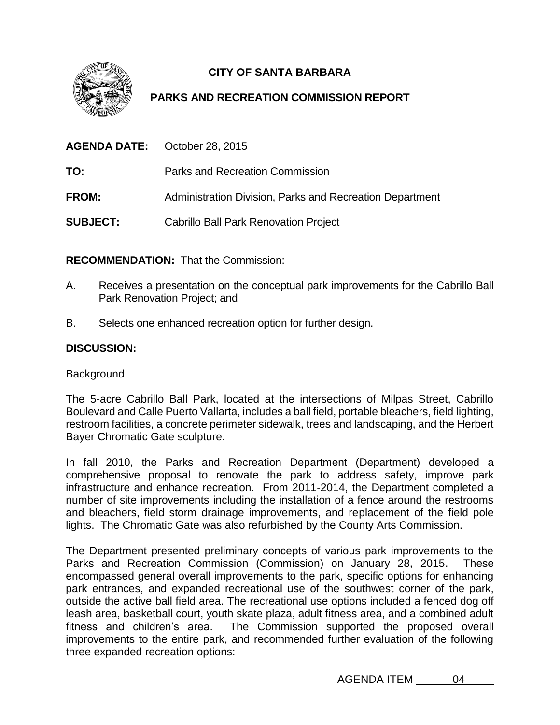

# **CITY OF SANTA BARBARA**

# **PARKS AND RECREATION COMMISSION REPORT**

|                 | <b>AGENDA DATE:</b> October 28, 2015                     |
|-----------------|----------------------------------------------------------|
| TO:             | Parks and Recreation Commission                          |
| <b>FROM:</b>    | Administration Division, Parks and Recreation Department |
| <b>SUBJECT:</b> | <b>Cabrillo Ball Park Renovation Project</b>             |

**RECOMMENDATION:** That the Commission:

- A. Receives a presentation on the conceptual park improvements for the Cabrillo Ball Park Renovation Project; and
- B. Selects one enhanced recreation option for further design.

# **DISCUSSION:**

## **Background**

The 5-acre Cabrillo Ball Park, located at the intersections of Milpas Street, Cabrillo Boulevard and Calle Puerto Vallarta, includes a ball field, portable bleachers, field lighting, restroom facilities, a concrete perimeter sidewalk, trees and landscaping, and the Herbert Bayer Chromatic Gate sculpture.

In fall 2010, the Parks and Recreation Department (Department) developed a comprehensive proposal to renovate the park to address safety, improve park infrastructure and enhance recreation. From 2011-2014, the Department completed a number of site improvements including the installation of a fence around the restrooms and bleachers, field storm drainage improvements, and replacement of the field pole lights. The Chromatic Gate was also refurbished by the County Arts Commission.

The Department presented preliminary concepts of various park improvements to the Parks and Recreation Commission (Commission) on January 28, 2015. These encompassed general overall improvements to the park, specific options for enhancing park entrances, and expanded recreational use of the southwest corner of the park, outside the active ball field area. The recreational use options included a fenced dog off leash area, basketball court, youth skate plaza, adult fitness area, and a combined adult fitness and children's area. The Commission supported the proposed overall improvements to the entire park, and recommended further evaluation of the following three expanded recreation options:

AGENDA ITEM 04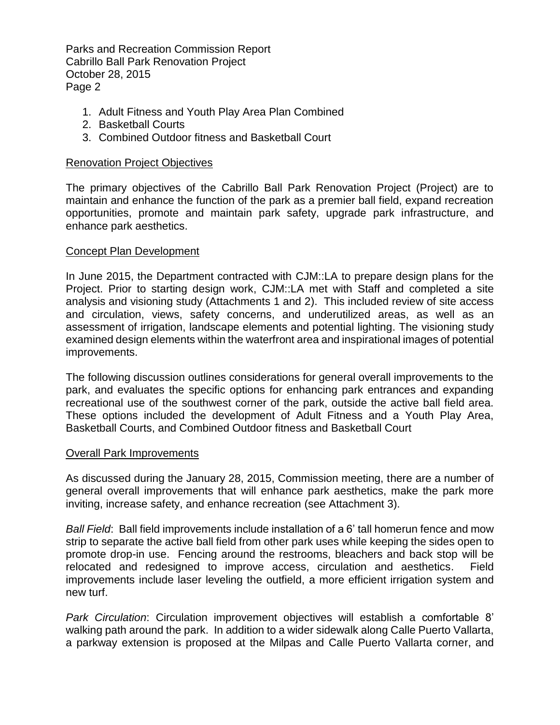- 1. Adult Fitness and Youth Play Area Plan Combined
- 2. Basketball Courts
- 3. Combined Outdoor fitness and Basketball Court

## Renovation Project Objectives

The primary objectives of the Cabrillo Ball Park Renovation Project (Project) are to maintain and enhance the function of the park as a premier ball field, expand recreation opportunities, promote and maintain park safety, upgrade park infrastructure, and enhance park aesthetics.

## Concept Plan Development

In June 2015, the Department contracted with CJM::LA to prepare design plans for the Project. Prior to starting design work, CJM::LA met with Staff and completed a site analysis and visioning study (Attachments 1 and 2). This included review of site access and circulation, views, safety concerns, and underutilized areas, as well as an assessment of irrigation, landscape elements and potential lighting. The visioning study examined design elements within the waterfront area and inspirational images of potential improvements.

The following discussion outlines considerations for general overall improvements to the park, and evaluates the specific options for enhancing park entrances and expanding recreational use of the southwest corner of the park, outside the active ball field area. These options included the development of Adult Fitness and a Youth Play Area, Basketball Courts, and Combined Outdoor fitness and Basketball Court

#### Overall Park Improvements

As discussed during the January 28, 2015, Commission meeting, there are a number of general overall improvements that will enhance park aesthetics, make the park more inviting, increase safety, and enhance recreation (see Attachment 3).

*Ball Field*: Ball field improvements include installation of a 6' tall homerun fence and mow strip to separate the active ball field from other park uses while keeping the sides open to promote drop-in use. Fencing around the restrooms, bleachers and back stop will be relocated and redesigned to improve access, circulation and aesthetics. Field improvements include laser leveling the outfield, a more efficient irrigation system and new turf.

*Park Circulation*: Circulation improvement objectives will establish a comfortable 8' walking path around the park. In addition to a wider sidewalk along Calle Puerto Vallarta, a parkway extension is proposed at the Milpas and Calle Puerto Vallarta corner, and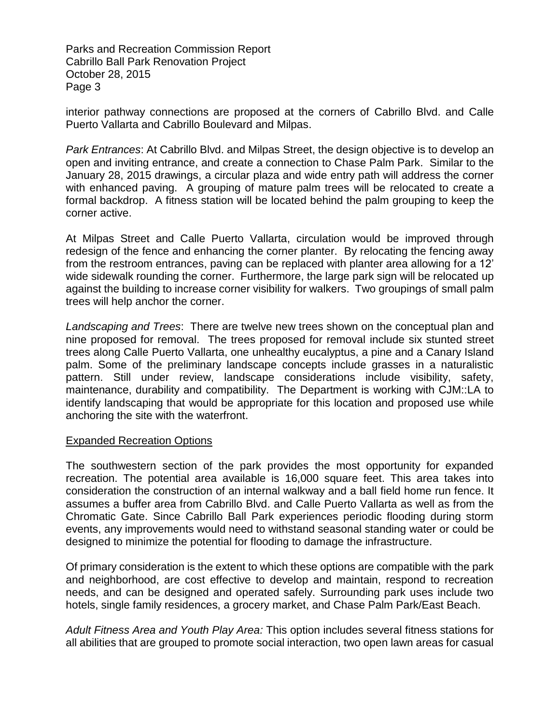interior pathway connections are proposed at the corners of Cabrillo Blvd. and Calle Puerto Vallarta and Cabrillo Boulevard and Milpas.

*Park Entrances*: At Cabrillo Blvd. and Milpas Street, the design objective is to develop an open and inviting entrance, and create a connection to Chase Palm Park. Similar to the January 28, 2015 drawings, a circular plaza and wide entry path will address the corner with enhanced paving. A grouping of mature palm trees will be relocated to create a formal backdrop. A fitness station will be located behind the palm grouping to keep the corner active.

At Milpas Street and Calle Puerto Vallarta, circulation would be improved through redesign of the fence and enhancing the corner planter. By relocating the fencing away from the restroom entrances, paving can be replaced with planter area allowing for a 12' wide sidewalk rounding the corner. Furthermore, the large park sign will be relocated up against the building to increase corner visibility for walkers. Two groupings of small palm trees will help anchor the corner.

*Landscaping and Trees*: There are twelve new trees shown on the conceptual plan and nine proposed for removal. The trees proposed for removal include six stunted street trees along Calle Puerto Vallarta, one unhealthy eucalyptus, a pine and a Canary Island palm. Some of the preliminary landscape concepts include grasses in a naturalistic pattern. Still under review, landscape considerations include visibility, safety, maintenance, durability and compatibility. The Department is working with CJM::LA to identify landscaping that would be appropriate for this location and proposed use while anchoring the site with the waterfront.

#### Expanded Recreation Options

The southwestern section of the park provides the most opportunity for expanded recreation. The potential area available is 16,000 square feet. This area takes into consideration the construction of an internal walkway and a ball field home run fence. It assumes a buffer area from Cabrillo Blvd. and Calle Puerto Vallarta as well as from the Chromatic Gate. Since Cabrillo Ball Park experiences periodic flooding during storm events, any improvements would need to withstand seasonal standing water or could be designed to minimize the potential for flooding to damage the infrastructure.

Of primary consideration is the extent to which these options are compatible with the park and neighborhood, are cost effective to develop and maintain, respond to recreation needs, and can be designed and operated safely. Surrounding park uses include two hotels, single family residences, a grocery market, and Chase Palm Park/East Beach.

*Adult Fitness Area and Youth Play Area:* This option includes several fitness stations for all abilities that are grouped to promote social interaction, two open lawn areas for casual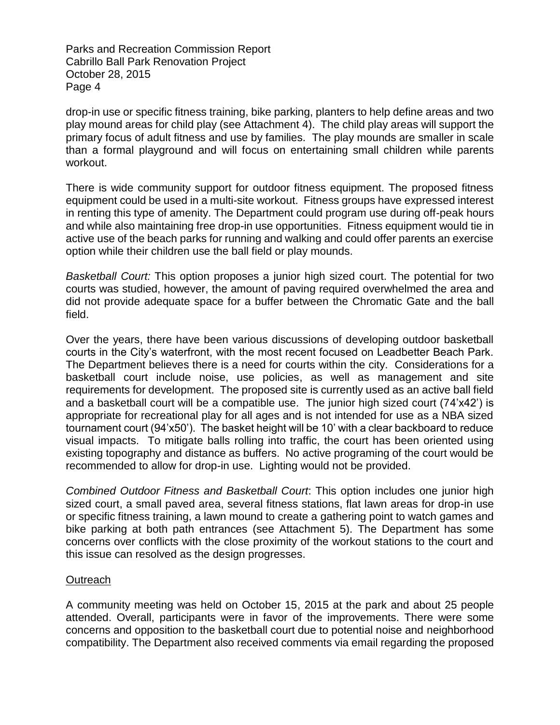drop-in use or specific fitness training, bike parking, planters to help define areas and two play mound areas for child play (see Attachment 4). The child play areas will support the primary focus of adult fitness and use by families. The play mounds are smaller in scale than a formal playground and will focus on entertaining small children while parents workout.

There is wide community support for outdoor fitness equipment. The proposed fitness equipment could be used in a multi-site workout. Fitness groups have expressed interest in renting this type of amenity. The Department could program use during off-peak hours and while also maintaining free drop-in use opportunities. Fitness equipment would tie in active use of the beach parks for running and walking and could offer parents an exercise option while their children use the ball field or play mounds.

*Basketball Court:* This option proposes a junior high sized court. The potential for two courts was studied, however, the amount of paving required overwhelmed the area and did not provide adequate space for a buffer between the Chromatic Gate and the ball field.

Over the years, there have been various discussions of developing outdoor basketball courts in the City's waterfront, with the most recent focused on Leadbetter Beach Park. The Department believes there is a need for courts within the city. Considerations for a basketball court include noise, use policies, as well as management and site requirements for development. The proposed site is currently used as an active ball field and a basketball court will be a compatible use. The junior high sized court (74'x42') is appropriate for recreational play for all ages and is not intended for use as a NBA sized tournament court (94'x50'). The basket height will be 10' with a clear backboard to reduce visual impacts. To mitigate balls rolling into traffic, the court has been oriented using existing topography and distance as buffers. No active programing of the court would be recommended to allow for drop-in use. Lighting would not be provided.

*Combined Outdoor Fitness and Basketball Court*: This option includes one junior high sized court, a small paved area, several fitness stations, flat lawn areas for drop-in use or specific fitness training, a lawn mound to create a gathering point to watch games and bike parking at both path entrances (see Attachment 5). The Department has some concerns over conflicts with the close proximity of the workout stations to the court and this issue can resolved as the design progresses.

#### **Outreach**

A community meeting was held on October 15, 2015 at the park and about 25 people attended. Overall, participants were in favor of the improvements. There were some concerns and opposition to the basketball court due to potential noise and neighborhood compatibility. The Department also received comments via email regarding the proposed